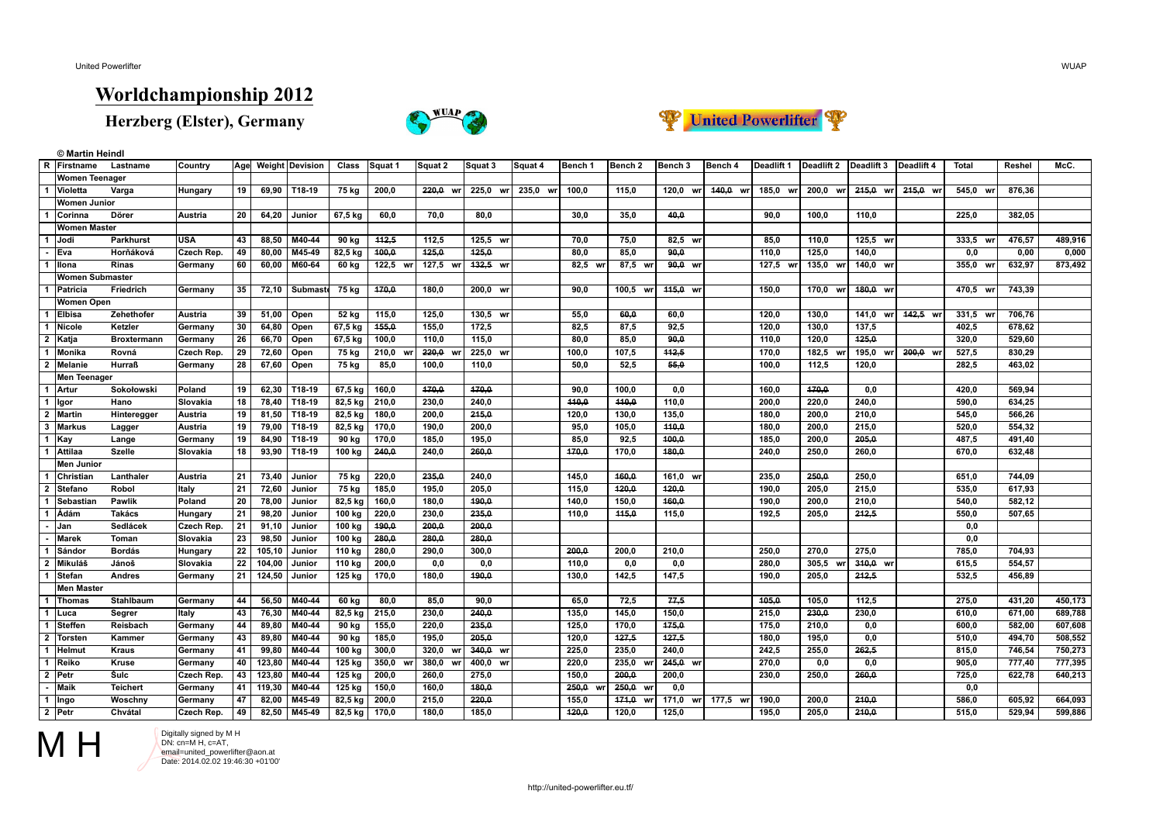**© Martin Heindl**

## **Worldchampionship 2012**

**Herzberg (Elster), Germany**





|                | R Firstname            | Lastname           | Country        |                 |         | Age Weight Devision | Class            | Squat 1        | Squat 2            | Squat 3        | Squat 4  | lBench 1 | Bench 2        | Bench 3      | Bench 4  | Deadlift 1 | Deadlift 2 | Deadlift 3 | Deadlift 4 | Total        | Reshel | McC.    |
|----------------|------------------------|--------------------|----------------|-----------------|---------|---------------------|------------------|----------------|--------------------|----------------|----------|----------|----------------|--------------|----------|------------|------------|------------|------------|--------------|--------|---------|
|                | <b>Women Teenager</b>  |                    |                |                 |         |                     |                  |                |                    |                |          |          |                |              |          |            |            |            |            |              |        |         |
|                | Violetta               | Varga              | Hungary        | 19              |         | 69.90 T18-19        | 75 kg            | 200.0          | 220.0 wr           | 225.0 wr       | 235.0 wr | 100.0    | 115.0          | 120.0<br>wr  | 440.0 wr | 185.0 wr   | 200.0 wr   | 215.0 wr   | 215,0 wr   | 545.0 wr     | 876.36 |         |
|                | <b>Women Junior</b>    |                    |                |                 |         |                     |                  |                |                    |                |          |          |                |              |          |            |            |            |            |              |        |         |
|                | <b>Corinna</b>         | Dörer              | Austria        | 20              | 64,20   | Junior              | 67,5 kg          | 60,0           | 70,0               | 80,0           |          | 30,0     | 35,0           | 40,0         |          | 90.0       | 100,0      | 110,0      |            | 225,0        | 382,05 |         |
|                | <b>Women Master</b>    |                    |                |                 |         |                     |                  |                |                    |                |          |          |                |              |          |            |            |            |            |              |        |         |
| 1              | Jodi                   | <b>Parkhurst</b>   | USA            | 43              | 88,50   | M40-44              | 90 ka            | 442,5          | 112.5              | 125.5 wr       |          | 70.0     | 75.0           | 82.5 wr      |          | 85.0       | 110.0      | 125.5 wr   |            | 333,5<br>wr  | 476,57 | 489,916 |
|                | Eva                    | Horňáková          | Czech Rep.     | 49              | 80,00   | M45-49              | 82,5 kg          | 400,0          | 125,0              | 125.0          |          | 80,0     | 85,0           | 90.0         |          | 110,0      | 125,0      | 140,0      |            | 0.0          | 0,00   | 0,000   |
|                | <b>Illona</b>          | <b>Rinas</b>       | Germany        | 60              | 60,00   | M60-64              | 60 kg            | 122,5 wr       | 127,5 wr           | 432.5 wr       |          | 82,5 wr  | 87,5 wr        | 90.0 wr      |          | 127,5 wr   | 135,0 wr   | 140,0 wr   |            | 355,0 wr     | 632,97 | 873,492 |
|                | <b>Women Submaster</b> |                    |                |                 |         |                     |                  |                |                    |                |          |          |                |              |          |            |            |            |            |              |        |         |
|                | Patricia               | Friedrich          | Germany        | 35              | 72,10   | Submaste            | 75 kg            | 470,0          | 180,0              | 200,0 wr       |          | 90,0     | $100,5$ wr     | 445,0 wr     |          | 150.0      | 170,0 wr   | 480,0 wr   |            | 470,5 wr     | 743,39 |         |
|                | Women Open             |                    |                |                 |         |                     |                  |                |                    |                |          |          |                |              |          |            |            |            |            |              |        |         |
|                | Elbisa                 | Zehethofer         | <b>Austria</b> | 39              | 51,00   | Open                | 52 kg            | 115.0          | 125.0              | 130.5 wr       |          | 55,0     | 60.0           | 60.0         |          | 120.0      | 130.0      | 141.0 wrl  | 442.5 wr   | 331,5 wr     | 706.76 |         |
|                | Nicole                 | Ketzler            | Germany        | 30              | 64,80   | Open                | $67.5$ kg        | 155,0          | 155,0              | 172,5          |          | 82,5     | 87,5           | 92,5         |          | 120,0      | 130,0      | 137,5      |            | 402,5        | 678,62 |         |
| $\overline{2}$ | Katja                  | <b>Broxtermann</b> | Germany        | 26              | 66,70   | Open                | 67,5 kg          | 100,0          | 110.0              | 115,0          |          | 80,0     | 85,0           | 90,0         |          | 110,0      | 120.0      | 425,0      |            | 320,0        | 529,60 |         |
|                | Monika                 | Rovná              | Czech Rep.     | 29              | 72,60   | Open                | 75 kg            | 210,0          | 220,0 WI           | 225,0 wr       |          | 100.0    | 107,5          | 112,5        |          | 170.0      | 182.5 wr   | 195,0 wr   | 200,0 wr   | 527,5        | 830,29 |         |
| $\overline{2}$ | Melanie                | <b>Hurraß</b>      | Germany        | 28              | 67,60   | Open                | 75 kg            | 85,0           | 100,0              | 110,0          |          | 50,0     | 52,5           | 55,0         |          | 100,0      | 112,5      | 120,0      |            | 282,5        | 463,02 |         |
|                | <b>Men Teenager</b>    |                    |                |                 |         |                     |                  |                |                    |                |          |          |                |              |          |            |            |            |            |              |        |         |
|                | 1   Artur              | Sokołowski         | Poland         | 19              | 62,30   | T18-19              | 67,5 kg          | 160,0          | 470.0              | 170.0          |          | 90.0     | 100.0          | 0,0          |          | 160.0      | 170.0      | 0,0        |            | 420.0        | 569.94 |         |
| 1              | Igor                   | Hano               | Slovakia       | 18              | 78,40   | T18-19              | 82,5 kg          | 210,0          | 230,0              | 240,0          |          | 440,0    | 440,0          | 110,0        |          | 200,0      | 220,0      | 240,0      |            | 590,0        | 634,25 |         |
|                | 2   Martin             | Hinteregger        | Austria        | 19              | 81,50   | T18-19              | 82,5 kg          | 180,0          | 200.0              | 245.0          |          | 120.0    | 130,0          | 135,0        |          | 180,0      | 200,0      | 210,0      |            | 545,0        | 566,26 |         |
| 3              | l Markus               | Lagger             | Austria        | 19              | 79,00   | T18-19              | 82,5 kg          | 170.0          | 190.0              | 200.0          |          | 95.0     | 105.0          | 110.0        |          | 180.0      | 200.0      | 215.0      |            | 520.0        | 554.32 |         |
| 1              | Kay                    | Lange              | Germany        | 19              | 84,90   | T18-19              | 90 kg            | 170,0          | 185,0              | 195,0          |          | 85,0     | 92,5           | 400,0        |          | 185,0      | 200,0      | 205,0      |            | 487,5        | 491,40 |         |
|                | Attilaa                | <b>Szelle</b>      | Slovakia       | 18              | 93.90   | T18-19              | 100 kg           | 240.0          | 240.0              | 260.0          |          | 470.0    | 170,0          | 180.0        |          | 240.0      | 250.0      | 260.0      |            | 670.0        | 632.48 |         |
|                | <b>Men Junior</b>      |                    |                |                 |         |                     |                  |                |                    |                |          |          |                |              |          |            |            |            |            |              |        |         |
|                | Christian              | Lanthaler          | Austria        | 21              | 73,40   | Junior              | 75 kg            | 220,0          | 235,0              | 240,0          |          | 145,0    | 460,0          | 161,0 wr     |          | 235,0      | 250,0      | 250,0      |            | 651,0        | 744,09 |         |
| $\overline{2}$ | <b>Stefano</b>         | Robol              | Italy          | 21              | 72,60   | Junior              | 75 kg            | 185,0          | 195,0              | 205,0          |          | 115,0    | 120,0          | 120,0        |          | 190,0      | 205,0      | 215,0      |            | 535,0        | 617,93 |         |
|                | Sebastian              | Pawlik             | Poland         | 20              | 78,00   | Junior              | 82,5 kg          | 160,0          | 180.0              | 190.0          |          | 140.0    | 150,0          | 160,0        |          | 190,0      | 200,0      | 210.0      |            | 540.0        | 582,12 |         |
| 1              | <b>Ádám</b>            | Takács             | Hungary        | 21              | 98,20   | Junior              | 100 kg           | 220,0          | 230,0              | 235.0          |          | 110,0    | 115,0          | 115,0        |          | 192,5      | 205,0      | 242,5      |            | 550,0        | 507,65 |         |
|                | Jan                    | Sedlácek           | Czech Rep.     | 21              | 91,10   | Junior              | 100 kg           | 190,0          | 200,0              | 200,0          |          |          |                |              |          |            |            |            |            | 0,0          |        |         |
|                | <b>Marek</b>           | Toman              | Slovakia       | $\overline{23}$ | 98,50   | Junior              | 100 kg           | 280,0          | 280.0              | 280.0          |          |          |                |              |          |            |            |            |            | 0.0          |        |         |
|                | Sándor                 | <b>Bordás</b>      | Hungary        | $\overline{22}$ | 105, 10 | Junior              | 110 kg           | 280,0          | 290,0              | 300,0          |          | 200,0    | 200,0          | 210,0        |          | 250,0      | 270,0      | 275,0      |            | 785,0        | 704,93 |         |
| $\overline{2}$ | Mikuláš                | Jánoš              | Slovakia       | 22              | 104,00  | Junior              | 110 kg           | 200,0          | 0,0                | 0,0            |          | 110.0    | 0,0            | 0,0          |          | 280.0      | 305.5 wr   | 310,0 wr   |            | 615,5        | 554,57 |         |
|                | <b>Stefan</b>          | <b>Andres</b>      | Germany        | 21              | 124,50  | Junior              | 125 kg           | 170.0          | 180.0              | 190.0          |          | 130.0    | 142.5          | 147.5        |          | 190.0      | 205.0      | 242.5      |            | 532.5        | 456.89 |         |
|                | <b>Men Master</b>      |                    |                |                 |         |                     |                  |                |                    |                |          |          |                |              |          |            |            |            |            |              |        |         |
|                | <b>Thomas</b>          | <b>Stahlbaum</b>   | Germany        | 44              | 56,50   | M40-44              | 60 kg            | 80,0           | 85,0               | 90.0           |          | 65,0     | 72,5           | 77,5         |          | 105,0      | 105,0      | 112,5      |            | 275,0        | 431,20 | 450,173 |
|                | Luca                   | Segrer             | Italy          | 43              | 76,30   | M40-44              | 82,5 kg          | 215,0          | 230,0              | 240.0          |          | 135,0    | 145.0          | 150.0        |          | 215,0      | 230.0      | 230.0      |            | 610.0        | 671,00 | 689,788 |
|                | Steffen                | Reisbach           | Germany        | 44              | 89,80   | M40-44              | 90 kg            | 155,0          | 220,0              | 235,0          |          | 125,0    | 170,0          | 175,0        |          | 175,0      | 210,0      | 0,0        |            | 600,0        | 582,00 | 607,608 |
| $\overline{2}$ | <b>Torsten</b>         | Kammer             | Germany        | 43              | 89,80   | M40-44              | 90 kg            | 185,0          | 195,0              | 205,0          |          | 120,0    | 427,5          | 427,5        |          | 180,0      | 195,0      | 0,0        |            | 510,0        | 494,70 | 508,552 |
|                | ∣Helmut                | <b>Kraus</b>       | Germany        | 41              | 99,80   | M40-44              | 100 kg           | 300.0          | 320.0              | 340.0 wr       |          | 225,0    | 235.0          | 240.0        |          | 242,5      | 255,0      | 262,5      |            | 815.0        | 746,54 | 750,273 |
| 1              | Reiko                  | Kruse              |                | 40              | 123,80  | M40-44              | $125$ kg         | 350,0<br>W     | 380,0<br><b>WI</b> | 400,0<br>wr    |          | 220,0    | 235,0<br>wrl   | $245,0$ wr   |          | 270,0      | 0,0        | 0,0        |            | 905,0        | 777,40 | 777,395 |
|                |                        | Šulc               | Germany        |                 | 123,80  |                     |                  |                |                    |                |          | 150.0    |                |              |          | 230.0      |            |            |            |              |        | 640,213 |
|                | $2$   Petr<br>Maik     | <b>Teichert</b>    | Czech Rep.     | 43<br>41        |         | M40-44<br>M40-44    | 125 kg<br>125 kg | 200,0<br>150,0 | 260,0<br>160.0     | 275,0<br>180.0 |          | 250.0 wr | 200,0<br>250.0 | 200,0<br>0,0 |          |            | 250,0      | 260,0      |            | 725,0<br>0.0 | 622,78 |         |
|                |                        |                    | Germany        |                 | 119,30  |                     |                  |                |                    |                |          |          | wr             |              |          |            |            |            |            |              |        | 664,093 |
|                | $1$   Ingo             | Woschny            | Germany        | 47              | 82,00   | M45-49              | 82,5 kg          | 200,0          | 215,0              | 220,0          |          | 155,0    | 474,0<br>wrl   | 171,0<br>wr  | 177,5 wi | 190,0      | 200,0      | 240,0      |            | 586,0        | 605,92 |         |
|                | $2$   Petr             | Chvátal            | Czech Rep.     | 49              | 82,50   | M45-49              | 82,5 kg          | 170,0          | 180.0              | 185,0          |          | 120,0    | 120,0          | 125.0        |          | 195.0      | 205.0      | 210.0      |            | 515,0        | 529.94 | 599,886 |



Digitally signed by M H<br>
DN: cn=M H, c=AT, email=united\_powerlifter@aon.at Date: 2014.02.02 19:46:30 +01'00'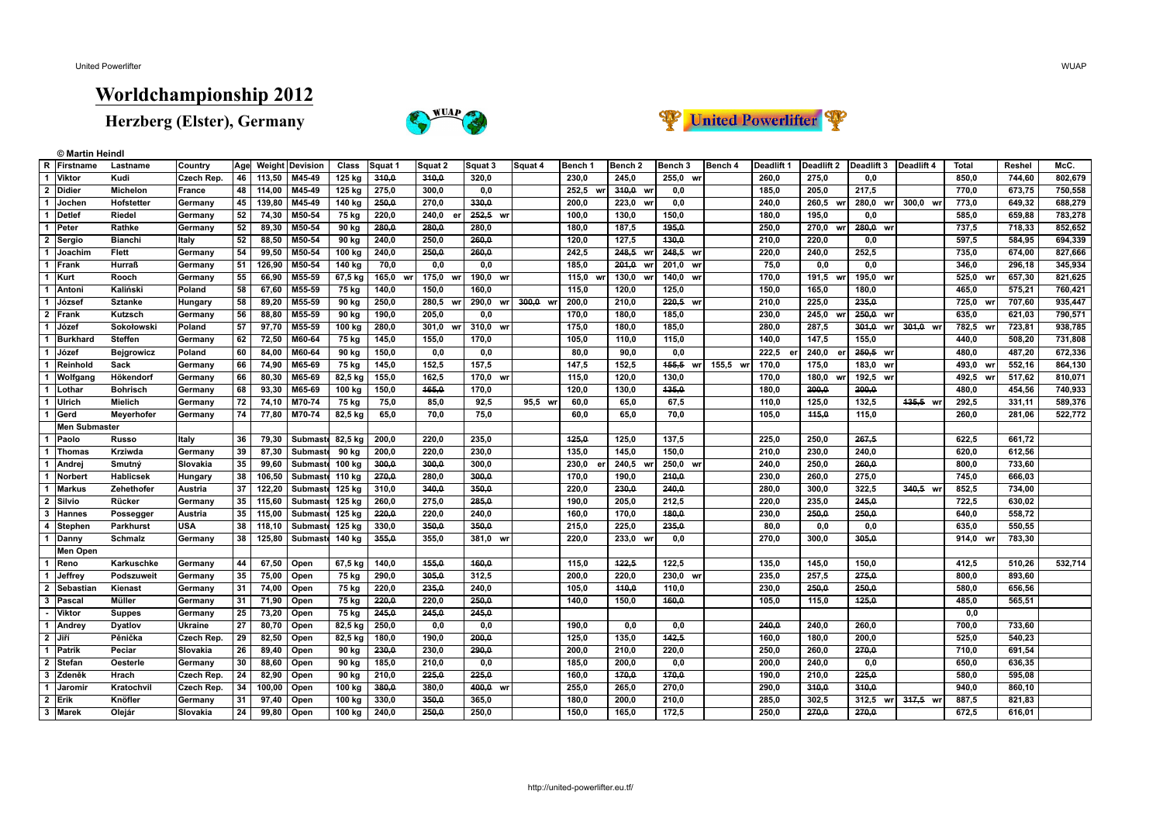**© Martin Heindl**

## **Worldchampionship 2012**

**Herzberg (Elster), Germany**





|                         | R Firstname          | Lastname          | Country           | Age             |        | <b>Weight Devision</b> | Class   | Squat 1     | Squat 2               | Squat 3     | Squat 4     | Bench 1     | Bench <sub>2</sub> | Bench 3     | Bench 4  | Deadlift 1 | Deadlift 2  | Deadlift 3  | Deadlift 4 | <b>Total</b> | Reshel | McC.    |
|-------------------------|----------------------|-------------------|-------------------|-----------------|--------|------------------------|---------|-------------|-----------------------|-------------|-------------|-------------|--------------------|-------------|----------|------------|-------------|-------------|------------|--------------|--------|---------|
| $\overline{1}$          | Viktor               | Kudi              | Czech Rep.        | 46              | 113,50 | M45-49                 | 125 kg  | 310,0       | 310,0                 | 320,0       |             | 230,0       | 245,0              | 255,0<br>wr |          | 260,0      | 275,0       | 0.0         |            | 850,0        | 744,60 | 802,679 |
|                         | 2 Didier             | <b>Michelon</b>   | <b>France</b>     | 48              | 114,00 | M45-49                 | 125 kg  | 275.0       | 300.0                 | 0.0         |             | 252.5<br>wr | 340.0<br>wr        | 0.0         |          | 185.0      | 205.0       | 217.5       |            | 770.0        | 673.75 | 750,558 |
| $\mathbf{1}$            | ∣Jochen              | Hofstetter        | Germany           | 45              | 139,80 | M45-49                 | 140 kg  | 250,0       | 270.0                 | 330.0       |             | 200,0       | 223,0<br>wr        | 0,0         |          | 240,0      | 260,5<br>wr | $280,0$ wr  | 300,0 wr   | 773,0        | 649,32 | 688,279 |
| $\overline{1}$          | Detlef               | Riedel            | Germany           | 52              | 74,30  | M50-54                 | 75 kg   | 220,0       | 240,0<br>$\mathbf{e}$ | 252.5 wr    |             | 100,0       | 130,0              | 150,0       |          | 180,0      | 195.0       | 0.0         |            | 585,0        | 659,88 | 783,278 |
| $\overline{1}$          | Peter                | Rathke            | Germany           | 52              | 89,30  | M50-54                 | 90 kg   | 280,0       | 280,0                 | 280,0       |             | 180,0       | 187,5              | 195,0       |          | 250,0      | 270,0<br>wr | 280,0 wr    |            | 737,5        | 718,33 | 852,652 |
| $\overline{2}$          | Sergio               | <b>Bianchi</b>    | Italy             | 52              | 88,50  | M50-54                 | 90 kg   | 240,0       | 250,0                 | 260,0       |             | 120,0       | 127,5              | 430,0       |          | 210,0      | 220,0       | 0.0         |            | 597,5        | 584,95 | 694,339 |
| $\overline{1}$          | Joachim              | Flett             | Germany           | 54              | 99,50  | M50-54                 | 100 kg  | 240,0       | 250,0                 | 260,0       |             | 242,5       | 248,5<br>wr        | 248,5 wr    |          | 220,0      | 240,0       | 252,5       |            | 735,0        | 674,00 | 827,666 |
| $\overline{1}$          | Frank                | Hurraß            | Germany           | 51              | 126,90 | M50-54                 | 140 kg  | 70,0        | 0,0                   | 0,0         |             | 185,0       | 201,0<br>wr        | 201,0 wr    |          | 75,0       | 0,0         | 0,0         |            | 346.0        | 296,18 | 345,934 |
| $\mathbf{1}$            | Kurt                 | Rooch             | Germany           | 55              | 66,90  | M55-59                 | 67,5 kg | 165,0<br>wr | 175,0                 | 190,0 wr    |             | 115,0<br>W  | 130,0<br>wr        | 140,0<br>wr |          | 170,0      | 191,5<br>wr | 195,0 wr    |            | 525,0 wr     | 657,30 | 821,625 |
| $\overline{1}$          | Antoni               | Kaliński          | Poland            | 58              | 67,60  | M55-59                 | 75 kg   | 140,0       | 150.0                 | 160.0       |             | 115,0       | 120,0              | 125,0       |          | 150,0      | 165,0       | 180.0       |            | 465.0        | 575,21 | 760,421 |
| $\overline{\mathbf{1}}$ | József               | <b>Sztanke</b>    | Hungary           | 58              | 89,20  | M55-59                 | 90 kg   | 250,0       | 280,5 wr              | 290,0<br>wr | 300.0<br>wr | 200,0       | 210,0              | $220,5$ wr  |          | 210,0      | 225,0       | 235,0       |            | 725,0<br>wr  | 707,60 | 935,447 |
| $\overline{2}$          | Frank                | Kutzsch           | Germany           | 56              | 88,80  | M55-59                 | 90 kg   | 190,0       | 205.0                 | 0.0         |             | 170,0       | 180,0              | 185,0       |          | 230,0      | 245,0<br>WI | 250,0 wr    |            | 635.0        | 621,03 | 790,571 |
| $\overline{1}$          | Józef                | Sokołowski        | Poland            | 57              | 97,70  | M55-59                 | 100 kg  | 280,0       | 301.0                 | 310,0 wr    |             | 175,0       | 180,0              | 185,0       |          | 280,0      | 287,5       | 301,0 wr    | 301,0 wr   | 782,5 wr     | 723,81 | 938,785 |
| $\mathbf{1}$            | <b>Burkhard</b>      | Steffen           | Germany           | 62              | 72,50  | M60-64                 | 75 kg   | 145,0       | 155,0                 | 170,0       |             | 105,0       | 110,0              | 115,0       |          | 140,0      | 147,5       | 155,0       |            | 440,0        | 508,20 | 731,808 |
| $\overline{1}$          | Józef                | <b>Bejgrowicz</b> | Poland            | 60              | 84,00  | M60-64                 | 90 kg   | 150,0       | 0,0                   | 0,0         |             | 80.0        | 90,0               | 0.0         |          | 222,5      | 240,0<br>er | 250,5 wr    |            | 480.0        | 487,20 | 672,336 |
| $\overline{1}$          | Reinhold             | Sack              | Germany           | 66              | 74,90  | M65-69                 | 75 kg   | 145,0       | 152,5                 | 157,5       |             | 147,5       | 152,5              | 455,5<br>wr | 155.5 wr | 170.0      | 175.0       | 183,0 wr    |            | 493.0 wr     | 552,16 | 864,130 |
| $\overline{1}$          | Wolfgang             | Hökendorf         | Germany           | 66              | 80,30  | M65-69                 | 82,5 kg | 155,0       | 162,5                 | 170,0<br>wr |             | 115,0       | 120,0              | 130.0       |          | 170.0      | 180,0<br>wr | 192,5<br>wr |            | 492,5<br>wr  | 517,62 | 810,071 |
| $\overline{1}$          | Lothar               | <b>Bohrisch</b>   | Germany           | 68              | 93,30  | M65-69                 | 100 kg  | 150,0       | 165,0                 | 170,0       |             | 120.0       | 130.0              | 435.0       |          | 180,0      | 200.0       | 200.0       |            | 480.0        | 454,56 | 740,933 |
| $\mathbf{1}$            | Ulrich               | Mielich           | Germany           | 72              | 74,10  | M70-74                 | 75 kg   | 75,0        | 85,0                  | 92,5        | 95,5 wr     | 60,0        | 65,0               | 67,5        |          | 110,0      | 125,0       | 132,5       | 435,5 wr   | 292,5        | 331,11 | 589,376 |
| $\overline{1}$          | Gerd                 | Meyerhofer        | Germany           | 74              | 77,80  | M70-74                 | 82,5 kg | 65,0        | 70,0                  | 75,0        |             | 60,0        | 65.0               | 70.0        |          | 105.0      | 115.0       | 115.0       |            | 260.0        | 281,06 | 522,772 |
|                         | <b>Men Submaster</b> |                   |                   |                 |        |                        |         |             |                       |             |             |             |                    |             |          |            |             |             |            |              |        |         |
| $\overline{1}$          | Paolo                | Russo             | Italy             | 36              | 79,30  | Submaste 82,5 kg       |         | 200,0       | 220,0                 | 235,0       |             | 125,0       | 125,0              | 137,5       |          | 225,0      | 250,0       | 267,5       |            | 622,5        | 661,72 |         |
| $\overline{1}$          | <b>Thomas</b>        | Krziwda           | Germany           | 39              | 87,30  | Submaste               | 90 kg   | 200,0       | 220,0                 | 230,0       |             | 135,0       | 145,0              | 150.0       |          | 210,0      | 230,0       | 240.0       |            | 620.0        | 612,56 |         |
| $\overline{1}$          | Andrej               | Smutný            | Slovakia          | 35              | 99,60  | Submaste 100 kg        |         | 300,0       | 300,0                 | 300,0       |             | 230,0<br>e  | 240,5              | 250,0<br>wr |          | 240.0      | 250,0       | 260.0       |            | 800.0        | 733,60 |         |
| $\overline{1}$          | Norbert              | Hablicsek         | Hungary           | 38              | 106,50 | Submaste 110 kg        |         | 270,0       | 280,0                 | 300,0       |             | 170,0       | 190,0              | 210,0       |          | 230,0      | 260,0       | 275,0       |            | 745,0        | 666,03 |         |
| $\overline{1}$          | <b>Markus</b>        | Zehethofer        | Austria           | 37              | 122,20 | Submaste 125 kg        |         | 310.0       | 340,0                 | 350.0       |             | 220,0       | 230,0              | 240,0       |          | 280.0      | 300,0       | 322.5       | 340.5 wr   | 852,5        | 734.00 |         |
| $\overline{2}$          | Silvio               | Rücker            | Germany           | 35              | 115,60 | Submastd 125 kg        |         | 260.0       | 275.0                 | 285.0       |             | 190.0       | 205.0              | 212.5       |          | 220.0      | 235.0       | 245.0       |            | 722.5        | 630.02 |         |
| $\mathbf{3}$            | Hannes               | Possegger         | Austria           | 35              | 115,00 | Submaste 125 kg        |         | 220,0       | 220,0                 | 240,0       |             | 160,0       | 170,0              | 180,0       |          | 230,0      | 250,0       | 250,0       |            | 640,0        | 558,72 |         |
| $\overline{4}$          | Stephen              | Parkhurst         | <b>USA</b>        | 38              | 118,10 | Submaste               | 125 kg  | 330,0       | 350,0                 | 350.0       |             | 215,0       | 225,0              | 235,0       |          | 80,0       | 0.0         | 0.0         |            | 635.0        | 550.55 |         |
| $\mathbf{1}$            | Danny                | <b>Schmalz</b>    | Germany           | 38              | 125,80 | Submaste 140 kg        |         | 355,0       | 355,0                 | 381,0 wr    |             | 220.0       | 233,0 wr           | 0,0         |          | 270.0      | 300.0       | 305.0       |            | 914.0 wr     | 783,30 |         |
|                         | Men Open             |                   |                   |                 |        |                        |         |             |                       |             |             |             |                    |             |          |            |             |             |            |              |        |         |
| $\overline{1}$          | Reno                 | Karkuschke        | Germany           | 44              | 67,50  | Open                   | 67,5 kg | 140,0       | 155.0                 | 160.0       |             | 115.0       | 422,5              | 122.5       |          | 135.0      | 145.0       | 150.0       |            | 412.5        | 510,26 | 532,714 |
| $\overline{1}$          | Jeffrey              | Podszuweit        | Germany           | 35              | 75,00  | Open                   | $75$ kg | 290,0       | 305,0                 | 312,5       |             | 200,0       | 220,0              | 230,0<br>wr |          | 235,0      | 257,5       | 275,0       |            | 800,0        | 893,60 |         |
| $\overline{2}$          | Sebastiar            | Kienast           | Germany           | 31              | 74,00  | Open                   | 75 kg   | 220,0       | 235,0                 | 240,0       |             | 105,0       | 440,0              | 110,0       |          | 230,0      | 250,0       | 250,0       |            | 580,0        | 656,56 |         |
| 3                       | Pascal               | Müller            | Germany           | 31              | 71,90  | Open                   | 75 kg   | 220.0       | 220.0                 | 250.0       |             | 140.0       | 150.0              | 160.0       |          | 105.0      | 115.0       | 125.0       |            | 485.0        | 565.51 |         |
|                         | Viktor               | <b>Suppes</b>     | Germany           | $\overline{25}$ | 73,20  | Open                   | 75 kg   | 245,0       | 245,0                 | 245,0       |             |             |                    |             |          |            |             |             |            | 0,0          |        |         |
| $\overline{1}$          | Andrey               | Dyatlov           | <b>Ukraine</b>    | $\overline{27}$ | 80,70  | Open                   | 82,5 kg | 250,0       | 0,0                   | 0,0         |             | 190.0       | 0,0                | 0,0         |          | 240,0      | 240.0       | 260.0       |            | 700,0        | 733,60 |         |
| $\overline{2}$          | Jiří                 | Pěnička           | <b>Czech Rep.</b> | $\overline{29}$ | 82,50  | Open                   | 82,5 kg | 180,0       | 190.0                 | 200.0       |             | 125.0       | 135,0              | 442.5       |          | 160.0      | 180.0       | 200.0       |            | 525.0        | 540.23 |         |
|                         | 1   Patrik           | Peciar            | Slovakia          | $\overline{26}$ | 89,40  | Open                   | 90 kg   | 230,0       | 230,0                 | 290,0       |             | 200,0       | 210,0              | 220,0       |          | 250,0      | 260,0       | 270,0       |            | 710,0        | 691,54 |         |
| $\overline{2}$          | Stefan               | Oesterle          | Germany           | 30              | 88,60  | Open                   | 90 kg   | 185,0       | 210,0                 | 0.0         |             | 185,0       | 200,0              | 0,0         |          | 200,0      | 240.0       | 0.0         |            | 650,0        | 636,35 |         |
| 3                       | <b>Zdeněk</b>        | Hrach             | Czech Rep.        | $\overline{24}$ | 82,90  | Open                   | 90 kg   | 210,0       | 225.0                 | 225.0       |             | 160.0       | 470,0              | 470.0       |          | 190.0      | 210.0       | 225.0       |            | 580.0        | 595.08 |         |
| $\overline{1}$          | Jaromir              | Kratochvil        | Czech Rep.        | 34              | 100,00 | Open                   | 100 kg  | 380,0       | 380,0                 | 400,0 wr    |             | 255,0       | 265,0              | 270,0       |          | 290,0      | 310,0       | 340,0       |            | 940,0        | 860,10 |         |
| $\overline{2}$          | l Erik               | Knöfler           | Germany           | 31              | 97,40  | Open                   | 100 kg  | 330,0       | 350,0                 | 365,0       |             | 180.0       | 200,0              | 210,0       |          | 285,0      | 302,5       | 312,5 wr    | 317,5 wr   | 887,5        | 821,83 |         |
|                         | 3 Marek              | Oleiár            | Slovakia          | 24              | 99,80  | Open                   | 100 kg  | 240.0       | 250.0                 | 250.0       |             | 150.0       | 165.0              | 172.5       |          | 250.0      | 270.0       | 270.0       |            | 672.5        | 616.01 |         |